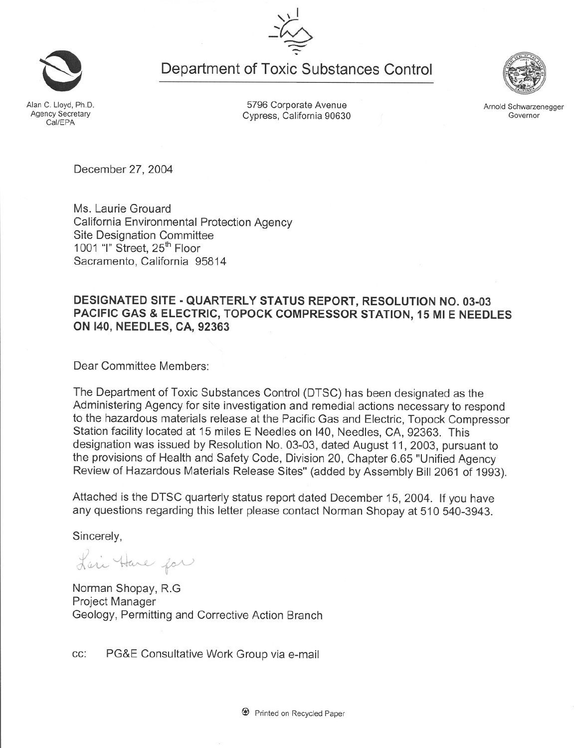~ **Department of Toxic Substances Control**

"  $\overline{a}$ 

 $\frac{1}{2}$ 

C. Lloyd Alan C. Lloyd, Ph.D. Agency Secretary Cal/EPA

5796 Corporate Avenue Cypress, California 90630

December 27, 2004

Ms. Laurie Grouard California Environmental Protection Agency Site Designation Committee 1001 "I" Street, 25<sup>th</sup> Floor Sacramento, California 95814

# **DESIGNATED SITE - QUARTERLY STATUS REPORT, RESOLUTION NO. 03-03 PACIFIC GAS & ELECTRIC, TOPOCK COMPRESSOR STATION, 15 MI E NEEDLES ON 140, NEEDLES, CA, 92363**

Dear Committee Members:

The Department of Toxic Substances Control (DTSC) has been designated as the Administering Agency for site investigation and remedial actions necessary to respond to the hazardous materials release at the Pacific Gas and Electric, Topock Compressor Station facility located at 15 miles E Needles on I40, Needles, CA, 92363. This designation was issued by Resolution No. 03-03, dated August 11, 2003, pursuant to the provisions of Health and Safety Code, Division 20, Chapter 6.65 "Unified Agency Review of Hazardous Materials Release Sites" (added by Assembly Bill 2061 of 1993).

Attached is the DTSC quarterly status report dated December 15, 2004. If you have any questions regarding this letter please contact Norman Shopay at 510 540-3943.

Sincerely,

Lari Have for

Norman Shopay, R.G Project Manager Geology, Permitting and Corrective Action Branch

cc: PG&E Consultative Work Group via e-mail



Arnold Schwarzenegger Governor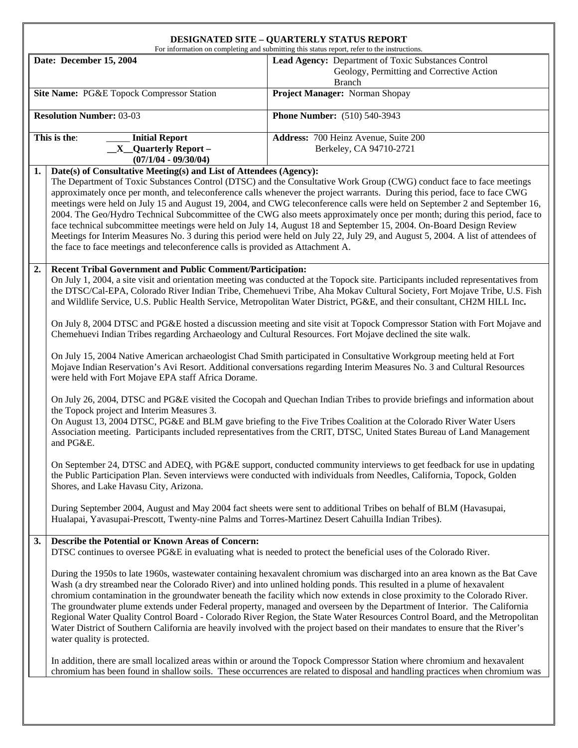#### **DESIGNATED SITE – QUARTERLY STATUS REPORT**

For information on completing and submitting this status report, refer to the instructions.

|                                                                        | Date: December 15, 2004                                                                                                                                                                                                                                                                                                                                                                                                                                           | For information on completing and submitting this status report, refer to the instructions.<br>Lead Agency: Department of Toxic Substances Control<br>Geology, Permitting and Corrective Action<br><b>Branch</b>                                                                                                                                                                                                                                                                                                                                                                                                                                                                                                                                                                |  |  |
|------------------------------------------------------------------------|-------------------------------------------------------------------------------------------------------------------------------------------------------------------------------------------------------------------------------------------------------------------------------------------------------------------------------------------------------------------------------------------------------------------------------------------------------------------|---------------------------------------------------------------------------------------------------------------------------------------------------------------------------------------------------------------------------------------------------------------------------------------------------------------------------------------------------------------------------------------------------------------------------------------------------------------------------------------------------------------------------------------------------------------------------------------------------------------------------------------------------------------------------------------------------------------------------------------------------------------------------------|--|--|
| Site Name: PG&E Topock Compressor Station                              |                                                                                                                                                                                                                                                                                                                                                                                                                                                                   | Project Manager: Norman Shopay                                                                                                                                                                                                                                                                                                                                                                                                                                                                                                                                                                                                                                                                                                                                                  |  |  |
| <b>Resolution Number: 03-03</b><br><b>Phone Number:</b> (510) 540-3943 |                                                                                                                                                                                                                                                                                                                                                                                                                                                                   |                                                                                                                                                                                                                                                                                                                                                                                                                                                                                                                                                                                                                                                                                                                                                                                 |  |  |
|                                                                        | This is the:<br><b>Initial Report</b><br>$X$ Quarterly Report –<br>$(07/1/04 - 09/30/04)$                                                                                                                                                                                                                                                                                                                                                                         | Address: 700 Heinz Avenue, Suite 200<br>Berkeley, CA 94710-2721                                                                                                                                                                                                                                                                                                                                                                                                                                                                                                                                                                                                                                                                                                                 |  |  |
| 1.                                                                     | Date(s) of Consultative Meeting(s) and List of Attendees (Agency):<br>the face to face meetings and teleconference calls is provided as Attachment A.                                                                                                                                                                                                                                                                                                             | The Department of Toxic Substances Control (DTSC) and the Consultative Work Group (CWG) conduct face to face meetings<br>approximately once per month, and teleconference calls whenever the project warrants. During this period, face to face CWG<br>meetings were held on July 15 and August 19, 2004, and CWG teleconference calls were held on September 2 and September 16,<br>2004. The Geo/Hydro Technical Subcommittee of the CWG also meets approximately once per month; during this period, face to<br>face technical subcommittee meetings were held on July 14, August 18 and September 15, 2004. On-Board Design Review<br>Meetings for Interim Measures No. 3 during this period were held on July 22, July 29, and August 5, 2004. A list of attendees of      |  |  |
| 2.                                                                     | <b>Recent Tribal Government and Public Comment/Participation:</b><br>On July 1, 2004, a site visit and orientation meeting was conducted at the Topock site. Participants included representatives from<br>the DTSC/Cal-EPA, Colorado River Indian Tribe, Chemehuevi Tribe, Aha Mokav Cultural Society, Fort Mojave Tribe, U.S. Fish<br>and Wildlife Service, U.S. Public Health Service, Metropolitan Water District, PG&E, and their consultant, CH2M HILL Inc. |                                                                                                                                                                                                                                                                                                                                                                                                                                                                                                                                                                                                                                                                                                                                                                                 |  |  |
|                                                                        | On July 8, 2004 DTSC and PG&E hosted a discussion meeting and site visit at Topock Compressor Station with Fort Mojave and<br>Chemehuevi Indian Tribes regarding Archaeology and Cultural Resources. Fort Mojave declined the site walk.                                                                                                                                                                                                                          |                                                                                                                                                                                                                                                                                                                                                                                                                                                                                                                                                                                                                                                                                                                                                                                 |  |  |
|                                                                        | On July 15, 2004 Native American archaeologist Chad Smith participated in Consultative Workgroup meeting held at Fort<br>Mojave Indian Reservation's Avi Resort. Additional conversations regarding Interim Measures No. 3 and Cultural Resources<br>were held with Fort Mojave EPA staff Africa Dorame.                                                                                                                                                          |                                                                                                                                                                                                                                                                                                                                                                                                                                                                                                                                                                                                                                                                                                                                                                                 |  |  |
|                                                                        | On July 26, 2004, DTSC and PG&E visited the Cocopah and Quechan Indian Tribes to provide briefings and information about<br>the Topock project and Interim Measures 3.<br>On August 13, 2004 DTSC, PG&E and BLM gave briefing to the Five Tribes Coalition at the Colorado River Water Users<br>Association meeting. Participants included representatives from the CRIT, DTSC, United States Bureau of Land Management<br>and PG&E.                              |                                                                                                                                                                                                                                                                                                                                                                                                                                                                                                                                                                                                                                                                                                                                                                                 |  |  |
|                                                                        | On September 24, DTSC and ADEQ, with PG&E support, conducted community interviews to get feedback for use in updating<br>the Public Participation Plan. Seven interviews were conducted with individuals from Needles, California, Topock, Golden<br>Shores, and Lake Havasu City, Arizona.                                                                                                                                                                       |                                                                                                                                                                                                                                                                                                                                                                                                                                                                                                                                                                                                                                                                                                                                                                                 |  |  |
|                                                                        | During September 2004, August and May 2004 fact sheets were sent to additional Tribes on behalf of BLM (Havasupai,<br>Hualapai, Yavasupai-Prescott, Twenty-nine Palms and Torres-Martinez Desert Cahuilla Indian Tribes).                                                                                                                                                                                                                                         |                                                                                                                                                                                                                                                                                                                                                                                                                                                                                                                                                                                                                                                                                                                                                                                 |  |  |
| 3.                                                                     | <b>Describe the Potential or Known Areas of Concern:</b><br>DTSC continues to oversee PG&E in evaluating what is needed to protect the beneficial uses of the Colorado River.                                                                                                                                                                                                                                                                                     |                                                                                                                                                                                                                                                                                                                                                                                                                                                                                                                                                                                                                                                                                                                                                                                 |  |  |
|                                                                        | water quality is protected.                                                                                                                                                                                                                                                                                                                                                                                                                                       | During the 1950s to late 1960s, wastewater containing hexavalent chromium was discharged into an area known as the Bat Cave<br>Wash (a dry streambed near the Colorado River) and into unlined holding ponds. This resulted in a plume of hexavalent<br>chromium contamination in the groundwater beneath the facility which now extends in close proximity to the Colorado River.<br>The groundwater plume extends under Federal property, managed and overseen by the Department of Interior. The California<br>Regional Water Quality Control Board - Colorado River Region, the State Water Resources Control Board, and the Metropolitan<br>Water District of Southern California are heavily involved with the project based on their mandates to ensure that the River's |  |  |
|                                                                        |                                                                                                                                                                                                                                                                                                                                                                                                                                                                   | In addition, there are small localized areas within or around the Topock Compressor Station where chromium and hexavalent<br>chromium has been found in shallow soils. These occurrences are related to disposal and handling practices when chromium was                                                                                                                                                                                                                                                                                                                                                                                                                                                                                                                       |  |  |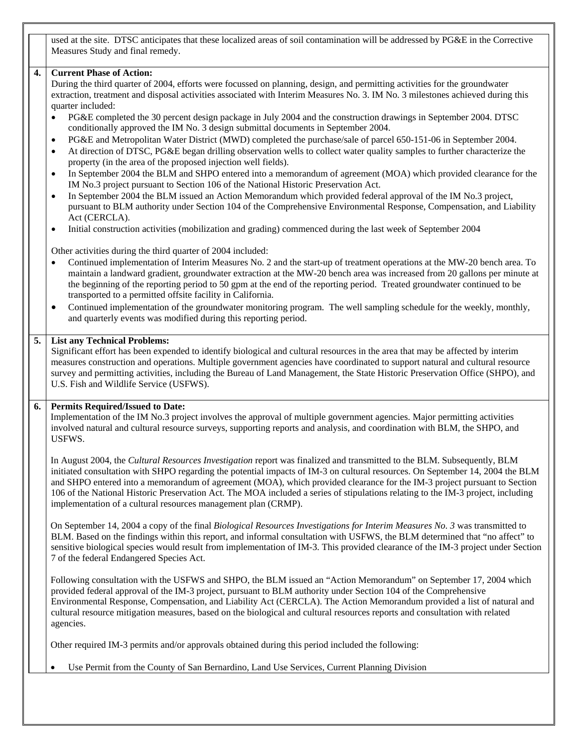used at the site. DTSC anticipates that these localized areas of soil contamination will be addressed by PG&E in the Corrective Measures Study and final remedy.

#### **4. Current Phase of Action:**

During the third quarter of 2004, efforts were focussed on planning, design, and permitting activities for the groundwater extraction, treatment and disposal activities associated with Interim Measures No. 3. IM No. 3 milestones achieved during this quarter included:

- PG&E completed the 30 percent design package in July 2004 and the construction drawings in September 2004. DTSC conditionally approved the IM No. 3 design submittal documents in September 2004.
- PG&E and Metropolitan Water District (MWD) completed the purchase/sale of parcel 650-151-06 in September 2004.
- At direction of DTSC, PG&E began drilling observation wells to collect water quality samples to further characterize the property (in the area of the proposed injection well fields).
- In September 2004 the BLM and SHPO entered into a memorandum of agreement (MOA) which provided clearance for the IM No.3 project pursuant to Section 106 of the National Historic Preservation Act.
- In September 2004 the BLM issued an Action Memorandum which provided federal approval of the IM No.3 project, pursuant to BLM authority under Section 104 of the Comprehensive Environmental Response, Compensation, and Liability Act (CERCLA).
- Initial construction activities (mobilization and grading) commenced during the last week of September 2004

Other activities during the third quarter of 2004 included:

- Continued implementation of Interim Measures No. 2 and the start-up of treatment operations at the MW-20 bench area. To maintain a landward gradient, groundwater extraction at the MW-20 bench area was increased from 20 gallons per minute at the beginning of the reporting period to 50 gpm at the end of the reporting period. Treated groundwater continued to be transported to a permitted offsite facility in California.
- Continued implementation of the groundwater monitoring program. The well sampling schedule for the weekly, monthly, and quarterly events was modified during this reporting period.

#### **5. List any Technical Problems:**

Significant effort has been expended to identify biological and cultural resources in the area that may be affected by interim measures construction and operations. Multiple government agencies have coordinated to support natural and cultural resource survey and permitting activities, including the Bureau of Land Management, the State Historic Preservation Office (SHPO), and U.S. Fish and Wildlife Service (USFWS).

#### **6. Permits Required/Issued to Date:**

Implementation of the IM No.3 project involves the approval of multiple government agencies. Major permitting activities involved natural and cultural resource surveys, supporting reports and analysis, and coordination with BLM, the SHPO, and USFWS.

In August 2004, the *Cultural Resources Investigation* report was finalized and transmitted to the BLM. Subsequently, BLM initiated consultation with SHPO regarding the potential impacts of IM-3 on cultural resources. On September 14, 2004 the BLM and SHPO entered into a memorandum of agreement (MOA), which provided clearance for the IM-3 project pursuant to Section 106 of the National Historic Preservation Act. The MOA included a series of stipulations relating to the IM-3 project, including implementation of a cultural resources management plan (CRMP).

On September 14, 2004 a copy of the final *Biological Resources Investigations for Interim Measures No. 3* was transmitted to BLM. Based on the findings within this report, and informal consultation with USFWS, the BLM determined that "no affect" to sensitive biological species would result from implementation of IM-3. This provided clearance of the IM-3 project under Section 7 of the federal Endangered Species Act.

Following consultation with the USFWS and SHPO, the BLM issued an "Action Memorandum" on September 17, 2004 which provided federal approval of the IM-3 project, pursuant to BLM authority under Section 104 of the Comprehensive Environmental Response, Compensation, and Liability Act (CERCLA). The Action Memorandum provided a list of natural and cultural resource mitigation measures, based on the biological and cultural resources reports and consultation with related agencies.

Other required IM-3 permits and/or approvals obtained during this period included the following:

• Use Permit from the County of San Bernardino, Land Use Services, Current Planning Division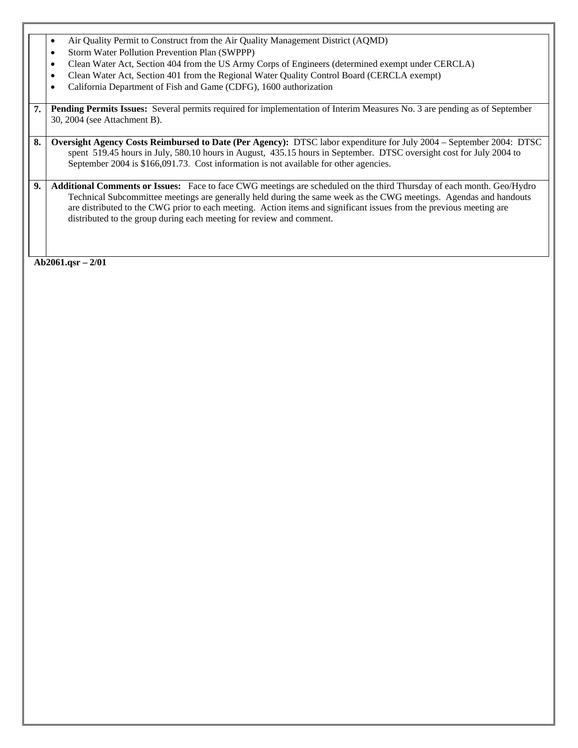- Air Quality Permit to Construct from the Air Quality Management District (AQMD)
- Storm Water Pollution Prevention Plan (SWPPP)
- Clean Water Act, Section 404 from the US Army Corps of Engineers (determined exempt under CERCLA)
- Clean Water Act, Section 401 from the Regional Water Quality Control Board (CERCLA exempt)
- California Department of Fish and Game (CDFG), 1600 authorization
- **7. Pending Permits Issues:** Several permits required for implementation of Interim Measures No. 3 are pending as of September 30, 2004 (see Attachment B).
- **8. Oversight Agency Costs Reimbursed to Date (Per Agency):** DTSC labor expenditure for July 2004 September 2004: DTSC spent 519.45 hours in July, 580.10 hours in August, 435.15 hours in September. DTSC oversight cost for July 2004 to September 2004 is \$166,091.73. Cost information is not available for other agencies.
- **9. Additional Comments or Issues:** Face to face CWG meetings are scheduled on the third Thursday of each month. Geo/Hydro Technical Subcommittee meetings are generally held during the same week as the CWG meetings. Agendas and handouts are distributed to the CWG prior to each meeting. Action items and significant issues from the previous meeting are distributed to the group during each meeting for review and comment.

**Ab2061.qsr – 2/01**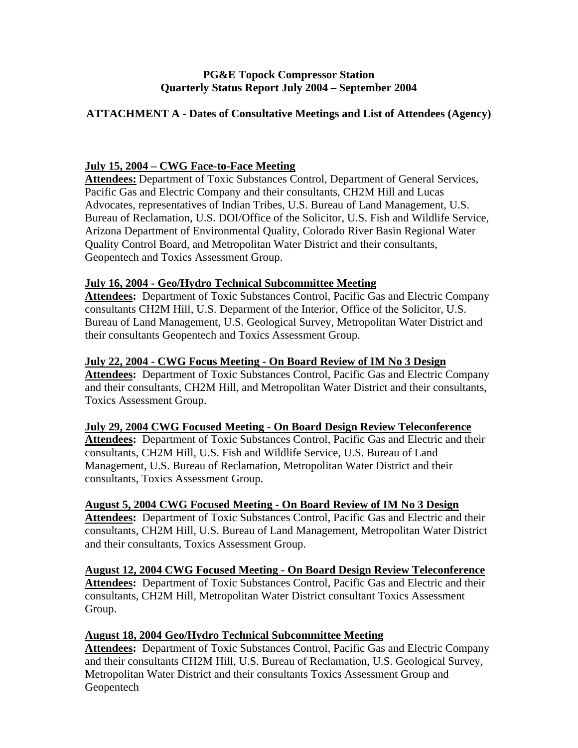### **PG&E Topock Compressor Station Quarterly Status Report July 2004 – September 2004**

### **ATTACHMENT A - Dates of Consultative Meetings and List of Attendees (Agency)**

### **July 15, 2004 – CWG Face-to-Face Meeting**

**Attendees:** Department of Toxic Substances Control, Department of General Services, Pacific Gas and Electric Company and their consultants, CH2M Hill and Lucas Advocates, representatives of Indian Tribes, U.S. Bureau of Land Management, U.S. Bureau of Reclamation, U.S. DOI/Office of the Solicitor, U.S. Fish and Wildlife Service, Arizona Department of Environmental Quality, Colorado River Basin Regional Water Quality Control Board, and Metropolitan Water District and their consultants, Geopentech and Toxics Assessment Group.

### **July 16, 2004 - Geo/Hydro Technical Subcommittee Meeting**

**Attendees:** Department of Toxic Substances Control, Pacific Gas and Electric Company consultants CH2M Hill, U.S. Deparment of the Interior, Office of the Solicitor, U.S. Bureau of Land Management, U.S. Geological Survey, Metropolitan Water District and their consultants Geopentech and Toxics Assessment Group.

### **July 22, 2004 - CWG Focus Meeting - On Board Review of IM No 3 Design**

**Attendees:** Department of Toxic Substances Control, Pacific Gas and Electric Company and their consultants, CH2M Hill, and Metropolitan Water District and their consultants, Toxics Assessment Group.

### **July 29, 2004 CWG Focused Meeting - On Board Design Review Teleconference**

**Attendees:** Department of Toxic Substances Control, Pacific Gas and Electric and their consultants, CH2M Hill, U.S. Fish and Wildlife Service, U.S. Bureau of Land Management, U.S. Bureau of Reclamation, Metropolitan Water District and their consultants, Toxics Assessment Group.

### **August 5, 2004 CWG Focused Meeting - On Board Review of IM No 3 Design**

Attendees: Department of Toxic Substances Control, Pacific Gas and Electric and their consultants, CH2M Hill, U.S. Bureau of Land Management, Metropolitan Water District and their consultants, Toxics Assessment Group.

**August 12, 2004 CWG Focused Meeting - On Board Design Review Teleconference Attendees:** Department of Toxic Substances Control, Pacific Gas and Electric and their consultants, CH2M Hill, Metropolitan Water District consultant Toxics Assessment Group.

### **August 18, 2004 Geo/Hydro Technical Subcommittee Meeting**

**Attendees:** Department of Toxic Substances Control, Pacific Gas and Electric Company and their consultants CH2M Hill, U.S. Bureau of Reclamation, U.S. Geological Survey, Metropolitan Water District and their consultants Toxics Assessment Group and Geopentech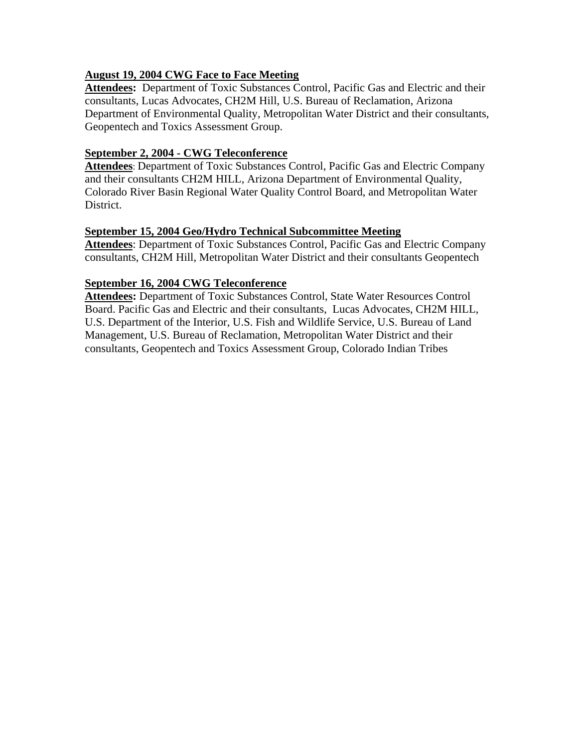# **August 19, 2004 CWG Face to Face Meeting**

Attendees: Department of Toxic Substances Control, Pacific Gas and Electric and their consultants, Lucas Advocates, CH2M Hill, U.S. Bureau of Reclamation, Arizona Department of Environmental Quality, Metropolitan Water District and their consultants, Geopentech and Toxics Assessment Group.

# **September 2, 2004 - CWG Teleconference**

**Attendees**: Department of Toxic Substances Control, Pacific Gas and Electric Company and their consultants CH2M HILL, Arizona Department of Environmental Quality, Colorado River Basin Regional Water Quality Control Board, and Metropolitan Water District.

# **September 15, 2004 Geo/Hydro Technical Subcommittee Meeting**

**Attendees**: Department of Toxic Substances Control, Pacific Gas and Electric Company consultants, CH2M Hill, Metropolitan Water District and their consultants Geopentech

# **September 16, 2004 CWG Teleconference**

**Attendees:** Department of Toxic Substances Control, State Water Resources Control Board. Pacific Gas and Electric and their consultants, Lucas Advocates, CH2M HILL, U.S. Department of the Interior, U.S. Fish and Wildlife Service, U.S. Bureau of Land Management, U.S. Bureau of Reclamation, Metropolitan Water District and their consultants, Geopentech and Toxics Assessment Group, Colorado Indian Tribes